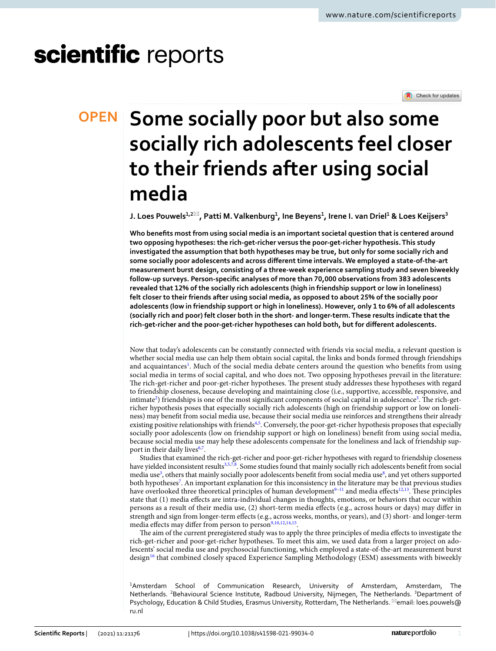# scientific reports

Check for updates

## **Some socially poor but also some OPEN socially rich adolescents feel closer to their friends after using social media**

 $\,$ **J. Loes Pouwels** $^{1,2\boxtimes}$ **, Patti M. Valkenburg** $^1$ **, Ine Beyens** $^1$ **, Irene I. van Driel** $^1$  **& Loes Keijsers** $^3$ 

**Who benefts most from using social media is an important societal question that is centered around two opposing hypotheses: the rich-get-richer versus the poor-get-richer hypothesis. This study investigated the assumption that both hypotheses may be true, but only for some socially rich and some socially poor adolescents and across diferent time intervals. We employed a state-of-the-art measurement burst design, consisting of a three-week experience sampling study and seven biweekly follow-up surveys. Person-specifc analyses of more than 70,000 observations from 383 adolescents revealed that 12% of the socially rich adolescents (high in friendship support or low in loneliness) felt closer to their friends after using social media, as opposed to about 25% of the socially poor adolescents (low in friendship support or high in loneliness). However, only 1 to 6% of all adolescents (socially rich and poor) felt closer both in the short- and longer-term. These results indicate that the rich-get-richer and the poor-get-richer hypotheses can hold both, but for diferent adolescents.**

Now that today's adolescents can be constantly connected with friends via social media, a relevant question is whether social media use can help them obtain social capital, the links and bonds formed through friendships and acquaintances<sup>[1](#page-12-0)</sup>. Much of the social media debate centers around the question who benefits from using social media in terms of social capital, and who does not. Two opposing hypotheses prevail in the literature: The rich-get-richer and poor-get-richer hypotheses. The present study addresses these hypotheses with regard to friendship closeness, because developing and maintaining close (i.e., supportive, accessible, responsive, and intimate $^2$ ) friendships is one of the most significant components of social capital in adolescence $^3$  $^3$ . The rich-getricher hypothesis poses that especially socially rich adolescents (high on friendship support or low on loneliness) may beneft from social media use, because their social media use reinforces and strengthens their already existing positive relationships with friends<sup>[4,](#page-12-3)[5](#page-12-4)</sup>. Conversely, the poor-get-richer hypothesis proposes that especially socially poor adolescents (low on friendship support or high on loneliness) beneft from using social media, because social media use may help these adolescents compensate for the loneliness and lack of friendship sup-port in their daily lives<sup>[6,](#page-12-5)[7](#page-12-6)</sup>.

Studies that examined the rich-get-richer and poor-get-richer hypotheses with regard to friendship closeness have yielded inconsistent results<sup>3[,5](#page-12-4)[,7](#page-12-6)[,8](#page-12-7)</sup>. Some studies found that mainly socially rich adolescents benefit from social media use<sup>[3](#page-12-2)</sup>, others that mainly socially poor adolescents benefit from social media use<sup>8</sup>, and yet others supported both hypotheses<sup>[7](#page-12-6)</sup>. An important explanation for this inconsistency in the literature may be that previous studies have overlooked three theoretical principles of human development $9-11$  and media effects $12,13$  $12,13$ . These principles state that (1) media efects are intra-individual changes in thoughts, emotions, or behaviors that occur within persons as a result of their media use, (2) short-term media efects (e.g., across hours or days) may difer in strength and sign from longer-term efects (e.g., across weeks, months, or years), and (3) short- and longer-term media effects may differ from person to person<sup>9[,10](#page-12-12)[,12](#page-12-10),[14](#page-13-0),[15](#page-13-1)</sup>.

The aim of the current preregistered study was to apply the three principles of media effects to investigate the rich-get-richer and poor-get-richer hypotheses. To meet this aim, we used data from a larger project on adolescents' social media use and psychosocial functioning, which employed a state-of-the-art measurement burst design[16](#page-13-2) that combined closely spaced Experience Sampling Methodology (ESM) assessments with biweekly

1 Amsterdam School of Communication Research, University of Amsterdam, Amsterdam, The Netherlands. <sup>2</sup>Behavioural Science Institute, Radboud University, Nijmegen, The Netherlands. <sup>3</sup>Department of Psychology, Education & Child Studies, Erasmus University, Rotterdam, The Netherlands. <sup>[2]</sup>email: loes.pouwels@ ru.nl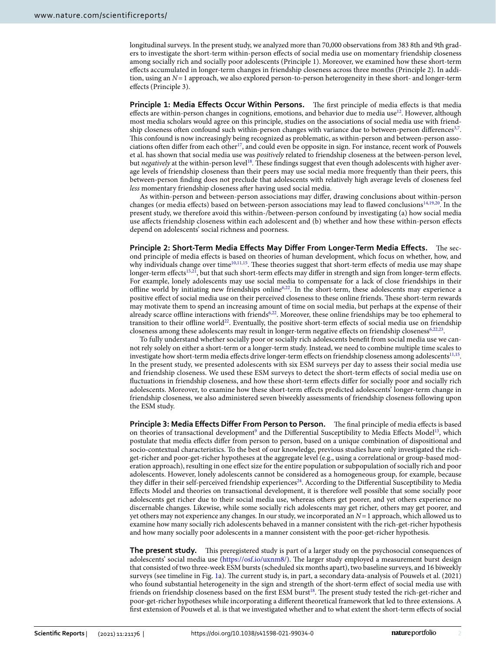longitudinal surveys. In the present study, we analyzed more than 70,000 observations from 383 8th and 9th graders to investigate the short-term within-person efects of social media use on momentary friendship closeness among socially rich and socially poor adolescents (Principle 1). Moreover, we examined how these short-term efects accumulated in longer-term changes in friendship closeness across three months (Principle 2). In addition, using an *N*=1 approach, we also explored person-to-person heterogeneity in these short- and longer-term efects (Principle 3).

Principle 1: Media Effects Occur Within Persons. The first principle of media effects is that media effects are within-person changes in cognitions, emotions, and behavior due to media use<sup>12</sup>. However, although most media scholars would agree on this principle, studies on the associations of social media use with friend-ship closeness often confound such within-person changes with variance due to between-person differences<sup>3[,7](#page-12-6)</sup>. Tis confound is now increasingly being recognized as problematic, as within-person and between-person associations often differ from each other<sup>17</sup>, and could even be opposite in sign. For instance, recent work of Pouwels et al. has shown that social media use was *positively* related to friendship closeness at the between-person level, but *negatively* at the within-person level<sup>18</sup>. These findings suggest that even though adolescents with higher average levels of friendship closeness than their peers may use social media more frequently than their peers, this between-person fnding does not preclude that adolescents with relatively high average levels of closeness feel *less* momentary friendship closeness afer having used social media.

As within-person and between-person associations may difer, drawing conclusions about within-person changes (or media effects) based on between-person associations may lead to flawed conclusions<sup>14[,19](#page-13-5)[,20](#page-13-6)</sup>. In the present study, we therefore avoid this within-/between-person confound by investigating (a) how social media use afects friendship closeness within each adolescent and (b) whether and how these within-person efects depend on adolescents' social richness and poorness.

Principle 2: Short-Term Media Effects May Differ From Longer-Term Media Effects. The second principle of media efects is based on theories of human development, which focus on whether, how, and why individuals change over time<sup>[10](#page-12-12),[11](#page-12-9),[15](#page-13-1)</sup>. These theories suggest that short-term effects of media use may shape longer-term effects<sup>[15](#page-13-1)[,21](#page-13-7)</sup>, but that such short-term effects may differ in strength and sign from longer-term effects. For example, lonely adolescents may use social media to compensate for a lack of close friendships in their ofine world by initiating new friendships onlin[e6](#page-12-5),[22](#page-13-8). In the short-term, these adolescents may experience a positive efect of social media use on their perceived closeness to these online friends. Tese short-term rewards may motivate them to spend an increasing amount of time on social media, but perhaps at the expense of their already scarce offline interactions with friends<sup>6,[22](#page-13-8)</sup>. Moreover, these online friendships may be too ephemeral to transition to their offline world<sup>22</sup>. Eventually, the positive short-term effects of social media use on friendship closeness among these adolescents may result in longer-term negative effects on friendship closeness<sup>[6,](#page-12-5)[22,](#page-13-8)[23](#page-13-9)</sup>.

To fully understand whether socially poor or socially rich adolescents beneft from social media use we cannot rely solely on either a short-term or a longer-term study. Instead, we need to combine multiple time scales to investigate how short-term media effects drive longer-term effects on friendship closeness among adolescents<sup>[11](#page-12-9),[15](#page-13-1)</sup>. In the present study, we presented adolescents with six ESM surveys per day to assess their social media use and friendship closeness. We used these ESM surveys to detect the short-term efects of social media use on fuctuations in friendship closeness, and how these short-term efects difer for socially poor and socially rich adolescents. Moreover, to examine how these short-term efects predicted adolescents' longer-term change in friendship closeness, we also administered seven biweekly assessments of friendship closeness following upon the ESM study.

Principle 3: Media Effects Differ From Person to Person. The final principle of media effects is based on theories of transactional development<sup>[9](#page-12-8)</sup> and the Differential Susceptibility to Media Effects Model<sup>[13](#page-12-11)</sup>, which postulate that media efects difer from person to person, based on a unique combination of dispositional and socio-contextual characteristics. To the best of our knowledge, previous studies have only investigated the richget-richer and poor-get-richer hypotheses at the aggregate level (e.g., using a correlational or group-based moderation approach), resulting in one efect size for the entire population or subpopulation of socially rich and poor adolescents. However, lonely adolescents cannot be considered as a homogeneous group, for example, because they differ in their self-perceived friendship experiences<sup>[24](#page-13-10)</sup>. According to the Differential Susceptibility to Media Efects Model and theories on transactional development, it is therefore well possible that some socially poor adolescents get richer due to their social media use, whereas others get poorer, and yet others experience no discernable changes. Likewise, while some socially rich adolescents may get richer, others may get poorer, and yet others may not experience any changes. In our study, we incorporated an *N*=1 approach, which allowed us to examine how many socially rich adolescents behaved in a manner consistent with the rich-get-richer hypothesis and how many socially poor adolescents in a manner consistent with the poor-get-richer hypothesis.

**The present study.** This preregistered study is part of a larger study on the psychosocial consequences of adolescents' social media use [\(https://osf.io/uxnm8/](https://osf.io/uxnm8/)). The larger study employed a measurement burst design that consisted of two three-week ESM bursts (scheduled six months apart), two baseline surveys, and 16 biweekly surveys (see timeline in Fig. [1](#page-2-0)a). The current study is, in part, a secondary data-analysis of Pouwels et al. (2021) who found substantial heterogeneity in the sign and strength of the short-term efect of social media use with friends on friendship closeness based on the first ESM burst<sup>18</sup>. The present study tested the rich-get-richer and poor-get-richer hypotheses while incorporating a diferent theoretical framework that led to three extensions. A frst extension of Pouwels et al. is that we investigated whether and to what extent the short-term efects of social

2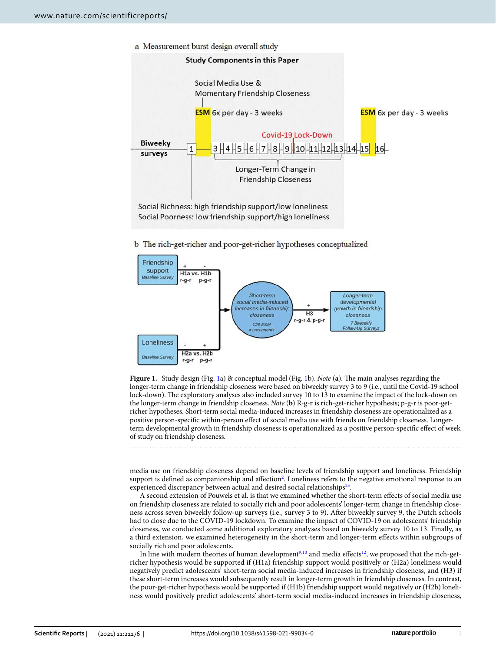

b The rich-get-richer and poor-get-richer hypotheses conceptualized



<span id="page-2-0"></span>Figure [1](#page-2-0). Study design (Fig. 1a) & conceptual model (Fig. [1b](#page-2-0)). *Note* (a). The main analyses regarding the longer-term change in friendship closeness were based on biweekly survey 3 to 9 (i.e., until the Covid-19 school lock-down). The exploratory analyses also included survey 10 to 13 to examine the impact of the lock-down on the longer-term change in friendship closeness. *Note* (**b**) R-g-r is rich-get-richer hypothesis; p-g-r is poor-getricher hypotheses. Short-term social media-induced increases in friendship closeness are operationalized as a positive person-specifc within-person efect of social media use with friends on friendship closeness. Longerterm developmental growth in friendship closeness is operationalized as a positive person-specifc efect of week of study on friendship closeness.

media use on friendship closeness depend on baseline levels of friendship support and loneliness. Friendship support is defined as companionship and affection<sup>2</sup>. Loneliness refers to the negative emotional response to an experienced discrepancy between actual and desired social relationships<sup>[25](#page-13-11)</sup>.

A second extension of Pouwels et al. is that we examined whether the short-term efects of social media use on friendship closeness are related to socially rich and poor adolescents' longer-term change in friendship closeness across seven biweekly follow-up surveys (i.e., survey 3 to 9). Afer biweekly survey 9, the Dutch schools had to close due to the COVID-19 lockdown. To examine the impact of COVID-19 on adolescents' friendship closeness, we conducted some additional exploratory analyses based on biweekly survey 10 to 13. Finally, as a third extension, we examined heterogeneity in the short-term and longer-term efects within subgroups of socially rich and poor adolescents.

In line with modern theories of human development $9,10$  $9,10$  and media effects<sup>12</sup>, we proposed that the rich-getricher hypothesis would be supported if (H1a) friendship support would positively or (H2a) loneliness would negatively predict adolescents' short-term social media-induced increases in friendship closeness, and (H3) if these short-term increases would subsequently result in longer-term growth in friendship closeness. In contrast, the poor-get-richer hypothesis would be supported if (H1b) friendship support would negatively or (H2b) loneliness would positively predict adolescents' short-term social media-induced increases in friendship closeness,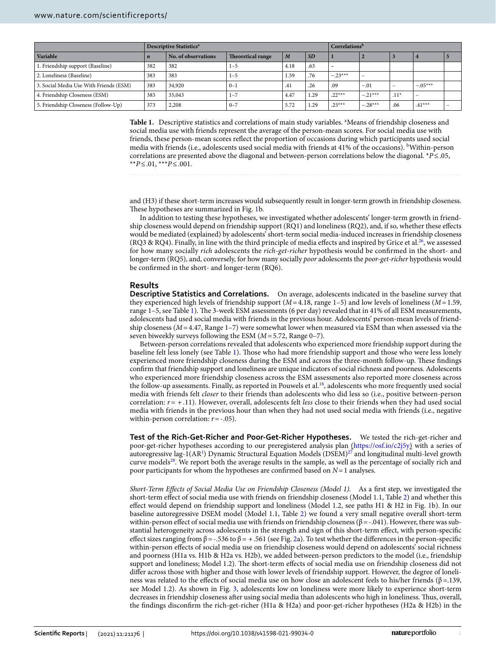|                                        |                  | <b>Descriptive Statistics<sup>a</sup></b> |                   | Correlationsb    |           |           |                          |        |           |                          |
|----------------------------------------|------------------|-------------------------------------------|-------------------|------------------|-----------|-----------|--------------------------|--------|-----------|--------------------------|
| Variable                               | $\boldsymbol{n}$ | No. of observations                       | Theoretical range | $\boldsymbol{M}$ | <b>SD</b> |           |                          |        |           |                          |
| 1. Friendship support (Baseline)       | 382              | 382                                       | $1 - 5$           | 4.18             | .63       | -         |                          |        |           |                          |
| 2. Loneliness (Baseline)               | 383              | 383                                       | $1 - 5$           | 1.59             | .76       | $-.23***$ | $\overline{\phantom{0}}$ |        |           |                          |
| 3. Social Media Use With Friends (ESM) | 383              | 34,920                                    | $0 - 1$           | .41              | .26       | .09       | $-.01$                   |        | $-.05***$ |                          |
| 4. Friendship Closeness (ESM)          | 383              | 35,043                                    | $1 - 7$           | 4.47             | 1.29      | $.22***$  | $-.21***$                | $.11*$ |           |                          |
| 5. Friendship Closeness (Follow-Up)    | 373              | 2,208                                     | $0 - 7$           | 5.72             | 1.29      | $.25***$  | $-.28***$                | .06    | $.41***$  | $\overline{\phantom{0}}$ |

<span id="page-3-0"></span>Table 1. Descriptive statistics and correlations of main study variables. <sup>a</sup>Means of friendship closeness and social media use with friends represent the average of the person-mean scores. For social media use with friends, these person-mean scores refect the proportion of occasions during which participants used social media with friends (i.e., adolescents used social media with friends at 41% of the occasions). bWithin-person correlations are presented above the diagonal and between-person correlations below the diagonal. \**P*≤.05, \*\**P*≤.01, \*\*\**P*≤.001.

and (H3) if these short-term increases would subsequently result in longer-term growth in friendship closeness. These hypotheses are summarized in Fig. [1b](#page-2-0).

In addition to testing these hypotheses, we investigated whether adolescents' longer-term growth in friendship closeness would depend on friendship support (RQ1) and loneliness (RQ2), and, if so, whether these efects would be mediated (explained) by adolescents' short-term social media-induced increases in friendship closeness (RQ3 & RQ4). Finally, in line with the third principle of media effects and inspired by Grice et al.<sup>[26](#page-13-12)</sup>, we assessed for how many socially *rich* adolescents the *rich-get-richer* hypothesis would be confrmed in the short- and longer-term (RQ5), and, conversely, for how many socially *poor* adolescents the *poor-get-richer* hypothesis would be confrmed in the short- and longer-term (RQ6).

#### **Results**

**Descriptive Statistics and Correlations.** On average, adolescents indicated in the baseline survey that they experienced high levels of friendship support (*M*=4.18, range 1–5) and low levels of loneliness (*M*=1.59, range [1](#page-3-0)–5, see Table 1). The 3-week ESM assessments (6 per day) revealed that in 41% of all ESM measurements, adolescents had used social media with friends in the previous hour. Adolescents' person-mean levels of friendship closeness (*M*=4.47, Range 1–7) were somewhat lower when measured via ESM than when assessed via the seven biweekly surveys following the ESM (*M*=5.72, Range 0–7).

Between-person correlations revealed that adolescents who experienced more friendship support during the baseline felt less lonely (see Table [1](#page-3-0)). Tose who had more friendship support and those who were less lonely experienced more friendship closeness during the ESM and across the three-month follow-up. These findings confrm that friendship support and loneliness are unique indicators of social richness and poorness. Adolescents who experienced more friendship closeness across the ESM assessments also reported more closeness across the follow-up assessments. Finally, as reported in Pouwels et al.<sup>18</sup>, adolescents who more frequently used social media with friends felt *closer* to their friends than adolescents who did less so (i.e., positive between-person correlation: *r* = + .11). However, overall, adolescents felt *less* close to their friends when they had used social media with friends in the previous hour than when they had not used social media with friends (i.e., negative within-person correlation: *r*=-.05).

**Test of the Rich‑Get‑Richer and Poor‑Get‑Richer Hypotheses.** We tested the rich-get-richer and poor-get-richer hypotheses according to our preregistered analysis plan [\(https://osf.io/c2j5y\)](https://osf.io/c2j5y) with a series of autoregressive lag-[1](#page-12-0)(AR<sup>1</sup>) Dynamic Structural Equation Models (DSEM)<sup>[27](#page-13-13)</sup> and longitudinal multi-level growth curve models<sup>[28](#page-13-14)</sup>. We report both the average results in the sample, as well as the percentage of socially rich and poor participants for whom the hypotheses are confrmed based on *N*=1 analyses.

*Short-Term Efects of Social Media Use on Friendship Closeness (Model 1).* As a frst step, we investigated the short-term efect of social media use with friends on friendship closeness (Model 1.1, Table [2\)](#page-4-0) and whether this efect would depend on friendship support and loneliness (Model 1.2, see paths H1 & H2 in Fig. [1](#page-2-0)b). In our baseline autoregressive DSEM model (Model 1.1, Table [2\)](#page-4-0) we found a very small negative overall short-term within-person effect of social media use with friends on friendship closeness (β = -.041). However, there was substantial heterogeneity across adolescents in the strength and sign of this short-term efect, with person-specifc effect sizes ranging from β = -.536 to β = +.561 (see Fig. [2a](#page-5-0)). To test whether the differences in the person-specific within-person efects of social media use on friendship closeness would depend on adolescents' social richness and poorness (H1a vs. H1b & H2a vs. H2b), we added between-person predictors to the model (i.e., friendship support and loneliness; Model 1.2). The short-term effects of social media use on friendship closeness did not difer across those with higher and those with lower levels of friendship support. However, the degree of loneliness was related to the effects of social media use on how close an adolescent feels to his/her friends (β=.139, see Model 1.2). As shown in Fig. [3](#page-6-0), adolescents low on loneliness were more likely to experience short-term decreases in friendship closeness afer using social media than adolescents who high in loneliness. Tus, overall, the fndings disconfrm the rich-get-richer (H1a & H2a) and poor-get-richer hypotheses (H2a & H2b) in the

4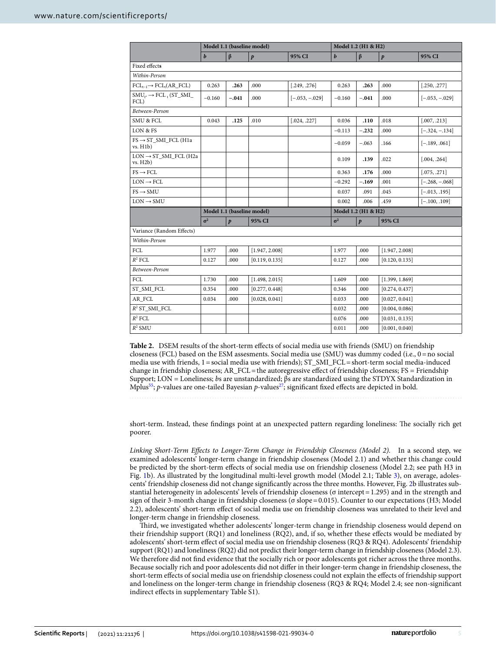|                                                           | Model 1.1 (baseline model) |                            |                  |                  | Model 1.2 (H1 & H2) |                     |                  |                  |  |  |
|-----------------------------------------------------------|----------------------------|----------------------------|------------------|------------------|---------------------|---------------------|------------------|------------------|--|--|
|                                                           | $\boldsymbol{b}$           | $\beta$                    | $\boldsymbol{p}$ | 95% CI           | $\boldsymbol{b}$    | $\beta$             | $\boldsymbol{p}$ | 95% CI           |  |  |
| Fixed effects                                             |                            |                            |                  |                  |                     |                     |                  |                  |  |  |
| Within-Person                                             |                            |                            |                  |                  |                     |                     |                  |                  |  |  |
| $FCL_{r-1} \rightarrow FCL_r(AR\_FCL)$                    | 0.263                      | .263                       | .000             | [.249, .276]     | 0.263               | .263                | .000             | [.250, .277]     |  |  |
| $SMU_{r^*} \rightarrow FCL$ <sub>t</sub> (ST_SMI_<br>FCL) | $-0.160$                   | $-.041$                    | .000             | $[-.053, -.029]$ | $-0.160$            | $-.041$             | .000             | $[-.053, -.029]$ |  |  |
| Between-Person                                            |                            |                            |                  |                  |                     |                     |                  |                  |  |  |
| <b>SMU &amp; FCL</b>                                      | 0.043                      | .125                       | .010             | [.024, .227]     | 0.036               | .110                | .018             | [.007, .213]     |  |  |
| LON & FS                                                  |                            |                            |                  |                  | $-0.113$            | $-.232$             | .000             | $[-.324, -.134]$ |  |  |
| $FS \rightarrow ST$ SMI FCL (H1a<br>vs. H1b)              |                            |                            |                  |                  | $-0.059$            | $-.063$             | .166             | $[-.189, .061]$  |  |  |
| $LON \rightarrow ST\_SMI\_FCL$ (H2a<br>vs. H2b)           |                            |                            |                  |                  | 0.109               | .139                | .022             | [.004, .264]     |  |  |
| $FS \rightarrow FCL$                                      |                            |                            |                  |                  | 0.363               | .176                | .000             | [.075, .271]     |  |  |
| $LON \rightarrow FCL$                                     |                            |                            |                  |                  | $-0.292$            | $-.169$             | .001             | $[-.268, -.068]$ |  |  |
| $FS \rightarrow SMU$                                      |                            |                            |                  |                  | 0.037               | .091                | .045             | $[-.013, .195]$  |  |  |
| $LON \rightarrow SMU$                                     |                            |                            |                  |                  | 0.002               | .006                | .459             | $[-.100, .109]$  |  |  |
|                                                           |                            | Model 1.1 (baseline model) |                  |                  |                     | Model 1.2 (H1 & H2) |                  |                  |  |  |
|                                                           | $\sigma^2$                 | $\boldsymbol{p}$           | 95% CI           |                  | $\sigma^2$          | $\boldsymbol{p}$    | 95% CI           |                  |  |  |
| Variance (Random Effects)                                 |                            |                            |                  |                  |                     |                     |                  |                  |  |  |
| Within-Person                                             |                            |                            |                  |                  |                     |                     |                  |                  |  |  |
| $\operatorname{FCL}$                                      | 1.977                      | .000                       | [1.947, 2.008]   |                  | 1.977               | .000                | [1.947, 2.008]   |                  |  |  |
| $R^2$ FCL                                                 | 0.127                      | .000                       | [0.119, 0.135]   |                  | 0.127               | .000                | [0.120, 0.135]   |                  |  |  |
| Between-Person                                            |                            |                            |                  |                  |                     |                     |                  |                  |  |  |
| FCL                                                       | 1.730                      | .000                       | [1.498, 2.015]   |                  | 1.609               | .000                | [1.399, 1.869]   |                  |  |  |
| ST_SMI_FCL                                                | 0.354                      | .000                       | [0.277, 0.448]   |                  | 0.346               | .000                | [0.274, 0.437]   |                  |  |  |
| AR_FCL                                                    | 0.034                      | .000                       | [0.028, 0.041]   |                  | 0.033               | .000                | [0.027, 0.041]   |                  |  |  |
| $R^2$ ST SMI FCL                                          |                            |                            |                  |                  | 0.032               | .000                | [0.004, 0.086]   |                  |  |  |
| $R^2$ FCL                                                 |                            |                            |                  |                  | 0.076               | .000                | [0.031, 0.135]   |                  |  |  |
| $R^2$ SMU                                                 |                            |                            |                  |                  | 0.011               | .000                | [0.001, 0.040]   |                  |  |  |

<span id="page-4-0"></span>**Table 2.** DSEM results of the short-term efects of social media use with friends (SMU) on friendship closeness (FCL) based on the ESM assesments. Social media use (SMU) was dummy coded (i.e., 0=no social media use with friends, 1=social media use with friends); ST\_SMI\_FCL=short-term social media-induced change in friendship closeness; AR\_FCL=the autoregressive efect of friendship closeness; FS = Friendship Support; LON = Loneliness; *b*s are unstandardized; βs are standardized using the STDYX Standardization in Mplus<sup>[55](#page-14-0)</sup>; *p*-values are one-tailed Bayesian *p*-values<sup>27</sup>; significant fixed effects are depicted in bold.

short-term. Instead, these findings point at an unexpected pattern regarding loneliness: The socially rich get poorer.

*Linking Short-Term Efects to Longer-Term Change in Friendship Closeness (Model 2).* In a second step, we examined adolescents' longer-term change in friendship closeness (Model 2.1) and whether this change could be predicted by the short-term efects of social media use on friendship closeness (Model 2.2; see path H3 in Fig. [1](#page-2-0)b). As illustrated by the longitudinal multi-level growth model (Model 2.1; Table [3\)](#page-7-0), on average, adolescents' friendship closeness did not change signifcantly across the three months. However, Fig. [2b](#page-5-0) illustrates substantial heterogeneity in adolescents' levels of friendship closeness (σ intercept=1.295) and in the strength and sign of their 3-month change in friendship closeness (σ slope=0.015). Counter to our expectations (H3; Model 2.2), adolescents' short-term efect of social media use on friendship closeness was unrelated to their level and longer-term change in friendship closeness.

Tird, we investigated whether adolescents' longer-term change in friendship closeness would depend on their friendship support (RQ1) and loneliness (RQ2), and, if so, whether these efects would be mediated by adolescents' short-term efect of social media use on friendship closeness (RQ3 & RQ4). Adolescents' friendship support (RQ1) and loneliness (RQ2) did not predict their longer-term change in friendship closeness (Model 2.3). We therefore did not fnd evidence that the socially rich or poor adolescents got richer across the three months. Because socially rich and poor adolescents did not difer in their longer-term change in friendship closeness, the short-term efects of social media use on friendship closeness could not explain the efects of friendship support and loneliness on the longer-term change in friendship closeness (RQ3 & RQ4; Model 2.4; see non-signifcant indirect efects in supplementary Table S1).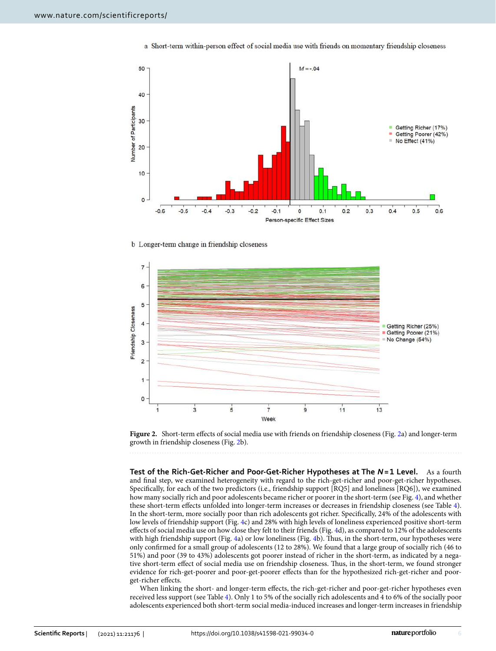

a Short-term within-person effect of social media use with friends on momentary friendship closeness

b Longer-term change in friendship closeness



<span id="page-5-0"></span>

**Test of the Rich-Get-Richer and Poor-Get-Richer Hypotheses at The**  $N=1$  **Level.** As a fourth and fnal step, we examined heterogeneity with regard to the rich-get-richer and poor-get-richer hypotheses. Specifcally, for each of the two predictors (i.e., friendship support [RQ5] and loneliness [RQ6]), we examined how many socially rich and poor adolescents became richer or poorer in the short-term (see Fig. [4\)](#page-8-0), and whether these short-term efects unfolded into longer-term increases or decreases in friendship closeness (see Table [4](#page-8-1)). In the short-term, more socially poor than rich adolescents got richer. Specifcally, 24% of the adolescents with low levels of friendship support (Fig. [4](#page-8-0)c) and 28% with high levels of loneliness experienced positive short-term efects of social media use on how close they felt to their friends (Fig. [4d](#page-8-0)), as compared to 12% of the adolescents with high friendship support (Fig. [4](#page-8-0)a) or low loneliness (Fig. 4b). Thus, in the short-term, our hypotheses were only confrmed for a small group of adolescents (12 to 28%). We found that a large group of socially rich (46 to 51%) and poor (39 to 43%) adolescents got poorer instead of richer in the short-term, as indicated by a negative short-term efect of social media use on friendship closeness. Tus, in the short-term, we found stronger evidence for rich-get-poorer and poor-get-poorer efects than for the hypothesized rich-get-richer and poorget-richer efects.

When linking the short- and longer-term efects, the rich-get-richer and poor-get-richer hypotheses even received less support (see Table [4](#page-8-1)). Only 1 to 5% of the socially rich adolescents and 4 to 6% of the socially poor adolescents experienced both short-term social media-induced increases and longer-term increases in friendship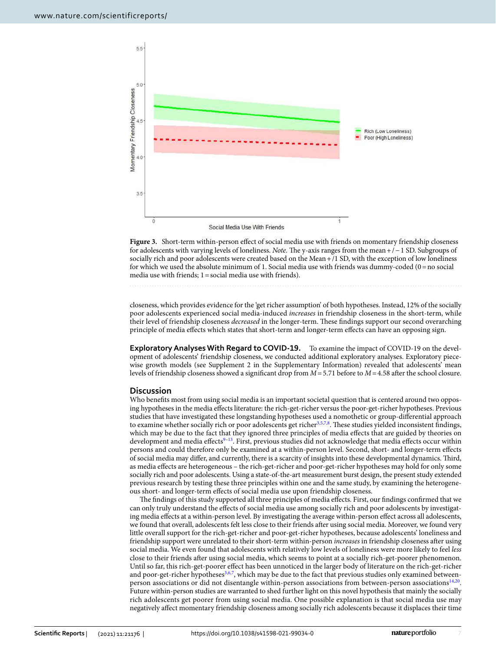

<span id="page-6-0"></span>Figure 3. Short-term within-person effect of social media use with friends on momentary friendship closeness for adolescents with varying levels of loneliness. *Note*. The y-axis ranges from the mean +/−1 SD. Subgroups of socially rich and poor adolescents were created based on the Mean +/1 SD, with the exception of low loneliness for which we used the absolute minimum of 1. Social media use with friends was dummy-coded  $(0=$  no social media use with friends; 1=social media use with friends).

closeness, which provides evidence for the 'get richer assumption' of both hypotheses. Instead, 12% of the socially poor adolescents experienced social media-induced *increases* in friendship closeness in the short-term, while their level of friendship closeness *decreased* in the longer-term. Tese fndings support our second overarching principle of media efects which states that short-term and longer-term efects can have an opposing sign.

**Exploratory Analyses With Regard to COVID‑19.** To examine the impact of COVID-19 on the development of adolescents' friendship closeness, we conducted additional exploratory analyses. Exploratory piecewise growth models (see Supplement 2 in the Supplementary Information) revealed that adolescents' mean levels of friendship closeness showed a signifcant drop from *M*=5.71 before to *M*=4.58 afer the school closure.

#### **Discussion**

Who benefts most from using social media is an important societal question that is centered around two opposing hypotheses in the media efects literature: the rich-get-richer versus the poor-get-richer hypotheses. Previous studies that have investigated these longstanding hypotheses used a nomothetic or group-diferential approach to examine whether socially rich or poor adolescents get richer<sup>[3](#page-12-2),[5,](#page-12-4)[7,](#page-12-6)[8](#page-12-7)</sup>. These studies yielded inconsistent findings, which may be due to the fact that they ignored three principles of media efects that are guided by theories on development and media effects<sup>[9–](#page-12-8)13</sup>. First, previous studies did not acknowledge that media effects occur within persons and could therefore only be examined at a within-person level. Second, short- and longer-term efects of social media may difer, and currently, there is a scarcity of insights into these developmental dynamics. Tird, as media efects are heterogeneous – the rich-get-richer and poor-get-richer hypotheses may hold for only some socially rich and poor adolescents. Using a state-of-the-art measurement burst design, the present study extended previous research by testing these three principles within one and the same study, by examining the heterogeneous short- and longer-term efects of social media use upon friendship closeness.

The findings of this study supported all three principles of media effects. First, our findings confirmed that we can only truly understand the efects of social media use among socially rich and poor adolescents by investigating media efects at a within-person level. By investigating the average within-person efect across all adolescents, we found that overall, adolescents felt less close to their friends afer using social media. Moreover, we found very little overall support for the rich-get-richer and poor-get-richer hypotheses, because adolescents' loneliness and friendship support were unrelated to their short-term within-person *increases* in friendship closeness afer using social media. We even found that adolescents with relatively low levels of loneliness were more likely to feel *less* close to their friends afer using social media, which seems to point at a socially rich-get-poorer phenomenon. Until so far, this rich-get-poorer efect has been unnoticed in the larger body of literature on the rich-get-richer and poor-get-richer hypotheses<sup>[3](#page-12-2),[6,](#page-12-5)[7](#page-12-6)</sup>, which may be due to the fact that previous studies only examined between-person associations or did not disentangle within-person associations from between-person associations<sup>14[,20](#page-13-6)</sup>. Future within-person studies are warranted to shed further light on this novel hypothesis that mainly the socially rich adolescents get poorer from using social media. One possible explanation is that social media use may negatively afect momentary friendship closeness among socially rich adolescents because it displaces their time

7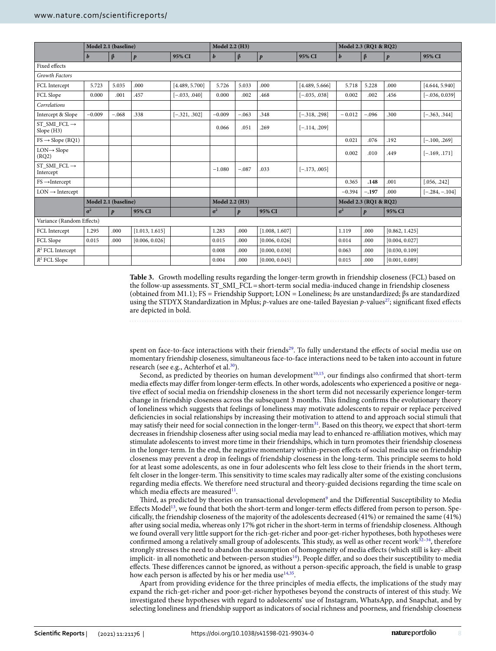|                                          | Model 2.1 (baseline) |                  |                  | Model 2.2 (H3)  |                  |                  |                  | Model 2.3 (RQ1 & RQ2) |                  |                  |                  |                  |
|------------------------------------------|----------------------|------------------|------------------|-----------------|------------------|------------------|------------------|-----------------------|------------------|------------------|------------------|------------------|
|                                          | $\boldsymbol{b}$     | $\beta$          | $\boldsymbol{p}$ | 95% CI          | $\boldsymbol{b}$ | $\beta$          | $\boldsymbol{p}$ | 95% CI                | $\boldsymbol{b}$ | $\beta$          | $\boldsymbol{p}$ | 95% CI           |
| Fixed effects                            |                      |                  |                  |                 |                  |                  |                  |                       |                  |                  |                  |                  |
| Growth Factors                           |                      |                  |                  |                 |                  |                  |                  |                       |                  |                  |                  |                  |
| FCL Intercept                            | 5.723                | 5.035            | .000             | [4.489, 5.700]  | 5.726            | 5.033            | .000             | [4.489, 5.666]        | 5.718            | 5.228            | .000             | [4.644, 5.940]   |
| FCL Slope                                | 0.000                | .001             | .457             | $[-.033, .040]$ | 0.000            | .002             | .468             | $[-.035, .038]$       | 0.002            | .002             | .456             | $[-.036, 0.039]$ |
| Correlations                             |                      |                  |                  |                 |                  |                  |                  |                       |                  |                  |                  |                  |
| Intercept & Slope                        | $-0.009$             | $-.068$          | .338             | $[-.321, .302]$ | $-0.009$         | $-.063$          | .348             | $[-.318, .298]$       | $-0.012$         | $-.096$          | .300             | $[-.363, .344]$  |
| $ST\_SMI\_FCL \rightarrow$<br>Slope (H3) |                      |                  |                  |                 | 0.066            | .051             | .269             | $[-.114, .209]$       |                  |                  |                  |                  |
| $FS \rightarrow Slope$ (RQ1)             |                      |                  |                  |                 |                  |                  |                  |                       | 0.021            | .076             | .192             | $[-.100, .269]$  |
| $LON \rightarrow$ Slope<br>(RQ2)         |                      |                  |                  |                 |                  |                  |                  |                       | 0.002            | .010             | .449             | $[-.169, .171]$  |
| $ST\_SMI\_FCL \rightarrow$<br>Intercept  |                      |                  |                  |                 | $-1.080$         | $-.087$          | .033             | $[-.173, .005]$       |                  |                  |                  |                  |
| $FS \rightarrow$ Intercept               |                      |                  |                  |                 |                  |                  |                  |                       | 0.365            | .148             | .001             | [.056, .242]     |
| $LON \rightarrow$ Intercept              |                      |                  |                  |                 |                  |                  |                  |                       | $-0.394$         | $-.197$          | .000             | $[-.284, -.104]$ |
|                                          | Model 2.1 (baseline) |                  |                  |                 | Model 2.2 (H3)   |                  |                  | Model 2.3 (RQ1 & RQ2) |                  |                  |                  |                  |
|                                          | $\sigma^2$           | $\boldsymbol{p}$ | 95% CI           |                 | $\sigma^2$       | $\boldsymbol{p}$ | 95% CI           |                       | $\sigma^2$       | $\boldsymbol{p}$ | 95% CI           |                  |
| Variance (Random Effects)                |                      |                  |                  |                 |                  |                  |                  |                       |                  |                  |                  |                  |
| FCL Intercept                            | 1.295                | .000             | [1.013, 1.615]   |                 | 1.283            | .000             | [1.008, 1.607]   |                       | 1.119            | .000             | [0.862, 1.425]   |                  |
| FCL Slope                                | 0.015                | .000             | [0.006, 0.026]   |                 | 0.015            | .000             | [0.006, 0.026]   |                       | 0.014            | .000             | [0.004, 0.027]   |                  |
| $R^2$ FCL Intercept                      |                      |                  |                  |                 | 0.008            | .000             | [0.000, 0.030]   |                       | 0.063            | .000             | [0.030, 0.109]   |                  |
| $R^2$ FCL Slope                          |                      |                  |                  |                 | 0.004            | .000             | [0.000, 0.045]   |                       | 0.015            | .000             | [0.001, 0.089]   |                  |

<span id="page-7-0"></span>**Table 3.** Growth modelling results regarding the longer-term growth in friendship closeness (FCL) based on the follow-up assessments. ST\_SMI\_FCL=short-term social media-induced change in friendship closeness (obtained from M1.1); FS = Friendship Support; LON = Loneliness; *b*s are unstandardized; βs are standardized using the STDYX Standardization in Mplus; *p*-values are one-tailed Bayesian *p*-values<sup>27</sup>; significant fixed effects are depicted in bold.

spent on face-to-face interactions with their friends<sup>[29](#page-13-15)</sup>. To fully understand the effects of social media use on momentary friendship closeness, simultaneous face-to-face interactions need to be taken into account in future research (see e.g., Achterhof et al.<sup>30</sup>).

Second, as predicted by theories on human development<sup>[10,](#page-12-12)15</sup>, our findings also confirmed that short-term media efects may difer from longer-term efects. In other words, adolescents who experienced a positive or negative efect of social media on friendship closeness in the short term did not necessarily experience longer-term change in friendship closeness across the subsequent 3 months. This finding confirms the evolutionary theory of loneliness which suggests that feelings of loneliness may motivate adolescents to repair or replace perceived defciencies in social relationships by increasing their motivation to attend to and approach social stimuli that may satisfy their need for social connection in the longer-term<sup>31</sup>. Based on this theory, we expect that short-term decreases in friendship closeness afer using social media may lead to enhanced re-afliation motives, which may stimulate adolescents to invest more time in their friendships, which in turn promotes their friendship closeness in the longer-term. In the end, the negative momentary within-person efects of social media use on friendship closeness may prevent a drop in feelings of friendship closeness in the long-term. Tis principle seems to hold for at least some adolescents, as one in four adolescents who felt less close to their friends in the short term, felt closer in the longer-term. Tis sensitivity to time scales may radically alter some of the existing conclusions regarding media efects. We therefore need structural and theory-guided decisions regarding the time scale on which media effects are measured $11$ .

Third, as predicted by theories on transactional development<sup>[9](#page-12-8)</sup> and the Differential Susceptibility to Media Effects Model<sup>13</sup>, we found that both the short-term and longer-term effects differed from person to person. Specifcally, the friendship closeness of the majority of the adolescents decreased (41%) or remained the same (41%) afer using social media, whereas only 17% got richer in the short-term in terms of friendship closeness. Although we found overall very little support for the rich-get-richer and poor-get-richer hypotheses, both hypotheses were confirmed among a relatively small group of adolescents. This study, as well as other recent work<sup>32-[34](#page-13-19)</sup>, therefore strongly stresses the need to abandon the assumption of homogeneity of media efects (which still is key- albeit implicit- in all nomothetic and between-person studies<sup>14</sup>). People differ, and so does their susceptibility to media effects. These differences cannot be ignored, as without a person-specific approach, the field is unable to grasp how each person is affected by his or her media use $14,35$  $14,35$ .

Apart from providing evidence for the three principles of media efects, the implications of the study may expand the rich-get-richer and poor-get-richer hypotheses beyond the constructs of interest of this study. We investigated these hypotheses with regard to adolescents' use of Instagram, WhatsApp, and Snapchat, and by selecting loneliness and friendship support as indicators of social richness and poorness, and friendship closeness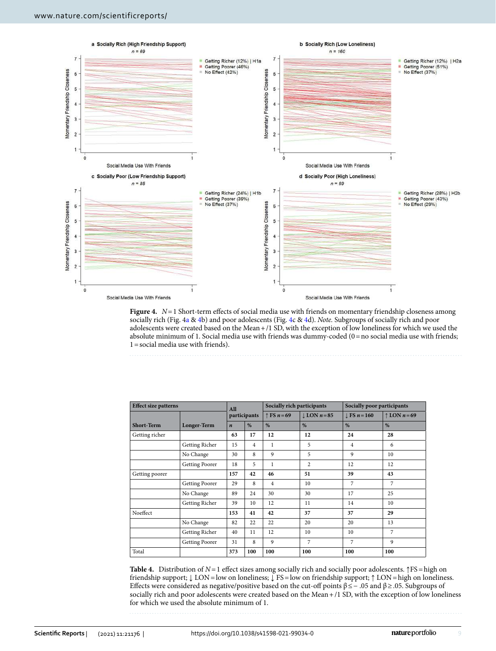

<span id="page-8-0"></span>**Figure 4.**  $N=1$  Short-term effects of social media use with friends on momentary friendship closeness among socially rich (Fig. [4a](#page-8-0) & [4b](#page-8-0)) and poor adolescents (Fig. [4](#page-8-0)c & [4d](#page-8-0)). *Note.* Subgroups of socially rich and poor adolescents were created based on the Mean+/1 SD, with the exception of low loneliness for which we used the absolute minimum of 1. Social media use with friends was dummy-coded (0 = no social media use with friends; 1=social media use with friends).

| <b>Effect size patterns</b> |                | All              |                | Socially rich participants |                    | Socially poor participants |                         |  |
|-----------------------------|----------------|------------------|----------------|----------------------------|--------------------|----------------------------|-------------------------|--|
|                             |                | participants     |                | $\uparrow$ FS $n = 69$     | $\perp$ LON $n=85$ | $\perp$ FS n = 160         | $\uparrow$ LON $n = 69$ |  |
| <b>Short-Term</b>           | Longer-Term    | $\boldsymbol{n}$ | $\%$           | $\%$                       | $\%$               | $\%$                       | $\%$                    |  |
| Getting richer              |                | 63               | 17             | 12                         | 12                 | 24                         | 28                      |  |
|                             | Getting Richer | 15               | $\overline{4}$ | $\mathbf{1}$               | 5                  | $\overline{4}$             | 6                       |  |
|                             | No Change      | 30               | 8              | 9                          | 5                  | 9                          | 10                      |  |
|                             | Getting Poorer | 18               | 5              | 1                          | $\overline{c}$     | 12                         | 12                      |  |
| Getting poorer              |                | 157              | 42             | 46                         | 51                 | 39                         | 43                      |  |
|                             | Getting Poorer | 29               | 8              | $\overline{4}$             | 10                 | 7                          | 7                       |  |
|                             | No Change      | 89               | 24             | 30                         | 30                 | 17                         | 25                      |  |
|                             | Getting Richer | 39               | 10             | 12                         | 11                 | 14                         | 10                      |  |
| Noeffect                    |                | 153              | 41             | 42                         | 37                 | 37                         | 29                      |  |
|                             | No Change      | 82               | 22             | 22                         | 20                 | 20                         | 13                      |  |
|                             | Getting Richer | 40               | 11             | 12                         | 10                 | 10                         | 7                       |  |
|                             | Getting Poorer | 31               | 8              | 9                          | 7                  | 7                          | 9                       |  |
| Total                       |                | 373              | 100            | 100                        | 100                | 100                        | 100                     |  |

<span id="page-8-1"></span>**Table 4.** Distribution of *N*=1 efect sizes among socially rich and socially poor adolescents. ↑FS=high on friendship support; ↓ LON=low on loneliness; ↓ FS=low on friendship support; ↑ LON=high on loneliness. Efects were considered as negative/positive based on the cut-of points β≤− .05 and β≥.05. Subgroups of socially rich and poor adolescents were created based on the Mean +/1 SD, with the exception of low loneliness for which we used the absolute minimum of 1.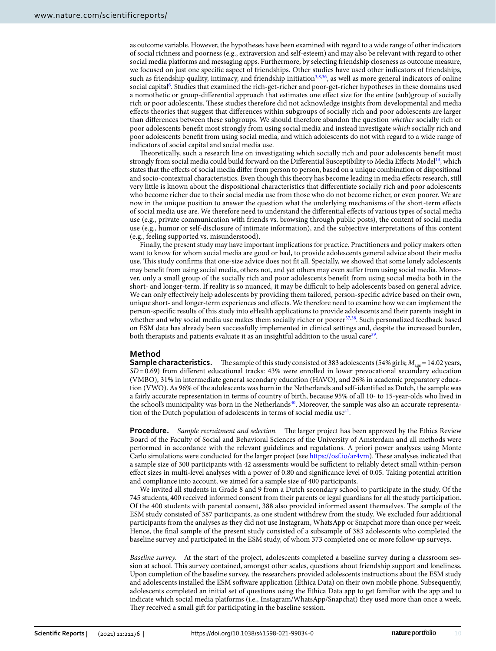as outcome variable. However, the hypotheses have been examined with regard to a wide range of other indicators of social richness and poorness (e.g., extraversion and self-esteem) and may also be relevant with regard to other social media platforms and messaging apps. Furthermore, by selecting friendship closeness as outcome measure, we focused on just one specifc aspect of friendships. Other studies have used other indicators of friendships, such as friendship quality, intimacy, and friendship initiation<sup>3,[8](#page-12-7),[36](#page-13-21)</sup>, as well as more general indicators of online social capital<sup>6</sup>. Studies that examined the rich-get-richer and poor-get-richer hypotheses in these domains used a nomothetic or group-diferential approach that estimates one efect size for the entire (sub)group of socially rich or poor adolescents. Tese studies therefore did not acknowledge insights from developmental and media efects theories that suggest that diferences within subgroups of socially rich and poor adolescents are larger than diferences between these subgroups. We should therefore abandon the question *whether* socially rich or poor adolescents beneft most strongly from using social media and instead investigate *which* socially rich and poor adolescents beneft from using social media, and which adolescents do not with regard to a wide range of indicators of social capital and social media use.

Theoretically, such a research line on investigating which socially rich and poor adolescents benefit most strongly from social media could build forward on the Differential Susceptibility to Media Effects Model<sup>[13](#page-12-11)</sup>, which states that the efects of social media difer from person to person, based on a unique combination of dispositional and socio-contextual characteristics. Even though this theory has become leading in media efects research, still very little is known about the dispositional characteristics that diferentiate socially rich and poor adolescents who become richer due to their social media use from those who do not become richer, or even poorer. We are now in the unique position to answer the question what the underlying mechanisms of the short-term efects of social media use are. We therefore need to understand the diferential efects of various types of social media use (e.g., private communication with friends vs. browsing through public posts), the content of social media use (e.g., humor or self-disclosure of intimate information), and the subjective interpretations of this content (e.g., feeling supported vs. misunderstood).

Finally, the present study may have important implications for practice. Practitioners and policy makers ofen want to know for whom social media are good or bad, to provide adolescents general advice about their media use. This study confirms that one-size advice does not fit all. Specially, we showed that some lonely adolescents may beneft from using social media, others not, and yet others may even sufer from using social media. Moreover, only a small group of the socially rich and poor adolescents beneft from using social media both in the short- and longer-term. If reality is so nuanced, it may be difcult to help adolescents based on general advice. We can only efectively help adolescents by providing them tailored, person-specifc advice based on their own, unique short- and longer-term experiences and efects. We therefore need to examine how we can implement the person-specifc results of this study into eHealth applications to provide adolescents and their parents insight in whether and why social media use makes them socially richer or poorer<sup>[37,](#page-13-22)38</sup>. Such personalized feedback based on ESM data has already been successfully implemented in clinical settings and, despite the increased burden, both therapists and patients evaluate it as an insightful addition to the usual care<sup>[39](#page-13-24)</sup>.

### **Method**

**Sample characteristics.** The sample of this study consisted of 383 adolescents (54% girls;  $M_{\text{age}} = 14.02$  years, *SD*=0.69) from diferent educational tracks: 43% were enrolled in lower prevocational secondary education (VMBO), 31% in intermediate general secondary education (HAVO), and 26% in academic preparatory education (VWO). As 96% of the adolescents was born in the Netherlands and self-identifed as Dutch, the sample was a fairly accurate representation in terms of country of birth, because 95% of all 10- to 15-year-olds who lived in the school's municipality was born in the Netherlands<sup>40</sup>. Moreover, the sample was also an accurate representa-tion of the Dutch population of adolescents in terms of social media use<sup>[41](#page-13-26)</sup>.

**Procedure.** *Sample recruitment and selection.* The larger project has been approved by the Ethics Review Board of the Faculty of Social and Behavioral Sciences of the University of Amsterdam and all methods were performed in accordance with the relevant guidelines and regulations. A priori power analyses using Monte Carlo simulations were conducted for the larger project (see <https://osf.io/ar4vm>). These analyses indicated that a sample size of 300 participants with 42 assessments would be sufficient to reliably detect small within-person efect sizes in multi-level analyses with a power of 0.80 and signifcance level of 0.05. Taking potential attrition and compliance into account, we aimed for a sample size of 400 participants.

We invited all students in Grade 8 and 9 from a Dutch secondary school to participate in the study. Of the 745 students, 400 received informed consent from their parents or legal guardians for all the study participation. Of the 400 students with parental consent, 388 also provided informed assent themselves. The sample of the ESM study consisted of 387 participants, as one student withdrew from the study. We excluded four additional participants from the analyses as they did not use Instagram, WhatsApp or Snapchat more than once per week. Hence, the fnal sample of the present study consisted of a subsample of 383 adolescents who completed the baseline survey and participated in the ESM study, of whom 373 completed one or more follow-up surveys.

*Baseline survey.* At the start of the project, adolescents completed a baseline survey during a classroom session at school. This survey contained, amongst other scales, questions about friendship support and loneliness. Upon completion of the baseline survey, the researchers provided adolescents instructions about the ESM study and adolescents installed the ESM software application (Ethica Data) on their own mobile phone. Subsequently, adolescents completed an initial set of questions using the Ethica Data app to get familiar with the app and to indicate which social media platforms (i.e., Instagram/WhatsApp/Snapchat) they used more than once a week. They received a small gift for participating in the baseline session.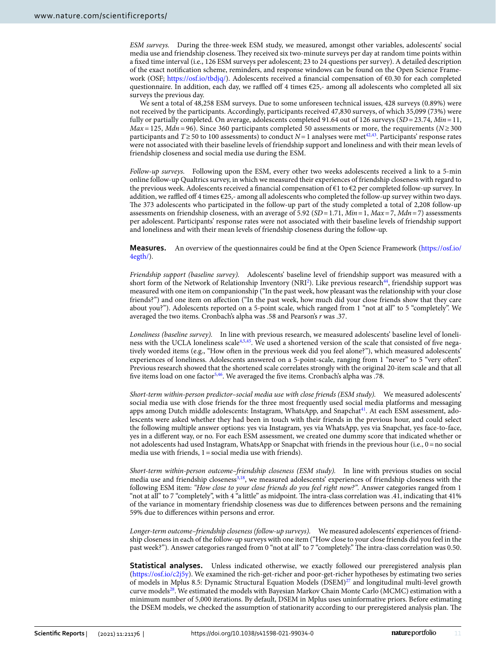*ESM surveys.* During the three-week ESM study, we measured, amongst other variables, adolescents' social media use and friendship closeness. They received six two-minute surveys per day at random time points within a fxed time interval (i.e., 126 ESM surveys per adolescent; 23 to 24 questions per survey). A detailed description of the exact notifcation scheme, reminders, and response windows can be found on the Open Science Framework (OSF; <https://osf.io/tbdjq/>). Adolescents received a financial compensation of €0.30 for each completed questionnaire. In addition, each day, we raffled off 4 times  $\epsilon$ 25,- among all adolescents who completed all six surveys the previous day.

We sent a total of 48,258 ESM surveys. Due to some unforeseen technical issues, 428 surveys (0.89%) were not received by the participants. Accordingly, participants received 47,830 surveys, of which 35,099 (73%) were fully or partially completed. On average, adolescents completed 91.64 out of 126 surveys (*SD*=23.74, *Min*=11, *Max* = 125, *Mdn* = 96). Since 360 participants completed 50 assessments or more, the requirements (*N*≥ 300 participants and *T* ≥ 50 to 100 assessments) to conduct *N* = 1 analyses were met<sup>42[,43](#page-13-28)</sup>. Participants' response rates were not associated with their baseline levels of friendship support and loneliness and with their mean levels of friendship closeness and social media use during the ESM.

*Follow-up surveys.* Following upon the ESM, every other two weeks adolescents received a link to a 5-min online follow-up Qualtrics survey, in which we measured their experiences of friendship closeness with regard to the previous week. Adolescents received a fnancial compensation of €1 to €2 per completed follow-up survey. In addition, we raffled off 4 times  $\epsilon$ 25,- among all adolescents who completed the follow-up survey within two days. The 373 adolescents who participated in the follow-up part of the study completed a total of 2,208 follow-up assessments on friendship closeness, with an average of 5.92 (*SD*=1.71, *Min*=1, *Max*=7, *Mdn*=7) assessments per adolescent. Participants' response rates were not associated with their baseline levels of friendship support and loneliness and with their mean levels of friendship closeness during the follow-up.

**Measures.** An overview of the questionnaires could be fnd at the Open Science Framework ([https://osf.io/](https://osf.io/4egth/) [4egth/\)](https://osf.io/4egth/).

*Friendship support (baseline survey).* Adolescents' baseline level of friendship support was measured with a short form of the Network of Relationship Inventory (NRI<sup>[2](#page-12-1)</sup>). Like previous research<sup>44</sup>, friendship support was measured with one item on companionship ("In the past week, how pleasant was the relationship with your close friends?") and one item on afection ("In the past week, how much did your close friends show that they care about you?"). Adolescents reported on a 5-point scale, which ranged from 1 "not at all" to 5 "completely". We averaged the two items. Cronbach's alpha was .58 and Pearson's *r* was .37.

*Loneliness (baseline survey).* In line with previous research, we measured adolescents' baseline level of loneli-ness with the UCLA loneliness scale<sup>[4](#page-12-3),[5,](#page-12-4)45</sup>. We used a shortened version of the scale that consisted of five negatively worded items (e.g., "How ofen in the previous week did you feel alone?"), which measured adolescents' experiences of loneliness. Adolescents answered on a 5-point-scale, ranging from 1 "never" to 5 "very ofen". Previous research showed that the shortened scale correlates strongly with the original 20-item scale and that all five items load on one factor<sup>5,[46](#page-13-31)</sup>. We averaged the five items. Cronbach's alpha was .78.

*Short-term within-person predictor–social media use with close friends (ESM study).* We measured adolescents' social media use with close friends for the three most frequently used social media platforms and messaging apps among Dutch middle adolescents: Instagram, WhatsApp, and Snapchat<sup>[41](#page-13-26)</sup>. At each ESM assessment, adolescents were asked whether they had been in touch with their friends in the previous hour, and could select the following multiple answer options: yes via Instagram, yes via WhatsApp, yes via Snapchat, yes face-to-face, yes in a diferent way, or no. For each ESM assessment, we created one dummy score that indicated whether or not adolescents had used Instagram, WhatsApp or Snapchat with friends in the previous hour (i.e., 0=no social media use with friends, 1=social media use with friends).

*Short-term within-person outcome–friendship closeness (ESM study).* In line with previous studies on social media use and friendship closeness<sup>3[,18](#page-13-4)</sup>, we measured adolescents' experiences of friendship closeness with the following ESM item: *"How close to your close friends do you feel right now?".* Answer categories ranged from 1 "not at all" to 7 "completely", with 4 "a little" as midpoint. The intra-class correlation was .41, indicating that 41% of the variance in momentary friendship closeness was due to diferences between persons and the remaining 59% due to diferences within persons and error.

*Longer-term outcome–friendship closeness (follow-up surveys).* We measured adolescents' experiences of friendship closeness in each of the follow-up surveys with one item ("How close to your close friends did you feel in the past week?"). Answer categories ranged from 0 "not at all" to 7 "completely." The intra-class correlation was 0.50.

**Statistical analyses.** Unless indicated otherwise, we exactly followed our preregistered analysis plan [\(https://osf.io/c2j5y](https://osf.io/c2j5y)). We examined the rich-get-richer and poor-get-richer hypotheses by estimating two series of models in Mplus 8.5: Dynamic Structural Equation Models (DSEM)<sup>27</sup> and longitudinal multi-level growth curve models<sup>28</sup>. We estimated the models with Bayesian Markov Chain Monte Carlo (MCMC) estimation with a minimum number of 5,000 iterations. By default, DSEM in Mplus uses uninformative priors. Before estimating the DSEM models, we checked the assumption of stationarity according to our preregistered analysis plan. The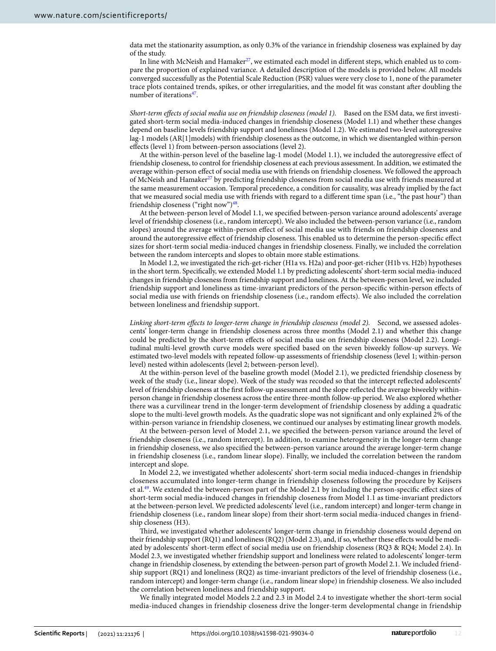data met the stationarity assumption, as only 0.3% of the variance in friendship closeness was explained by day of the study.

In line with McNeish and Hamaker<sup>27</sup>, we estimated each model in different steps, which enabled us to compare the proportion of explained variance. A detailed description of the models is provided below. All models converged successfully as the Potential Scale Reduction (PSR) values were very close to 1, none of the parameter trace plots contained trends, spikes, or other irregularities, and the model ft was constant afer doubling the number of iterations<sup>47</sup>.

*Short-term efects of social media use on friendship closeness (model 1).* Based on the ESM data, we frst investigated short-term social media-induced changes in friendship closeness (Model 1.1) and whether these changes depend on baseline levels friendship support and loneliness (Model 1.2). We estimated two-level autoregressive lag-1 models (AR[1]models) with friendship closeness as the outcome, in which we disentangled within-person efects (level 1) from between-person associations (level 2).

At the within-person level of the baseline lag-1 model (Model 1.1), we included the autoregressive efect of friendship closeness, to control for friendship closeness at each previous assessment. In addition, we estimated the average within-person efect of social media use with friends on friendship closeness. We followed the approach of McNeish and Hamaker<sup>27</sup> by predicting friendship closeness from social media use with friends measured at the same measurement occasion. Temporal precedence, a condition for causality, was already implied by the fact that we measured social media use with friends with regard to a diferent time span (i.e., "the past hour") than friendship closeness ("right now"[\)48](#page-13-33).

At the between-person level of Model 1.1, we specifed between-person variance around adolescents' average level of friendship closeness (i.e., random intercept). We also included the between-person variance (i.e., random slopes) around the average within-person efect of social media use with friends on friendship closeness and around the autoregressive efect of friendship closeness. Tis enabled us to determine the person-specifc efect sizes for short-term social media-induced changes in friendship closeness. Finally, we included the correlation between the random intercepts and slopes to obtain more stable estimations.

In Model 1.2, we investigated the rich-get-richer (H1a vs. H2a) and poor-get-richer (H1b vs. H2b) hypotheses in the short term. Specifcally, we extended Model 1.1 by predicting adolescents' short-term social media-induced changes in friendship closeness from friendship support and loneliness. At the between-person level, we included friendship support and loneliness as time-invariant predictors of the person-specifc within-person efects of social media use with friends on friendship closeness (i.e., random efects). We also included the correlation between loneliness and friendship support.

*Linking short-term efects to longer-term change in friendship closeness (model 2).* Second, we assessed adolescents' longer-term change in friendship closeness across three months (Model 2.1) and whether this change could be predicted by the short-term efects of social media use on friendship closeness (Model 2.2). Longitudinal multi-level growth curve models were specifed based on the seven biweekly follow-up surveys. We estimated two-level models with repeated follow-up assessments of friendship closeness (level 1; within-person level) nested within adolescents (level 2; between-person level).

At the within-person level of the baseline growth model (Model 2.1), we predicted friendship closeness by week of the study (i.e., linear slope). Week of the study was recoded so that the intercept refected adolescents' level of friendship closeness at the frst follow-up assessment and the slope refected the average biweekly withinperson change in friendship closeness across the entire three-month follow-up period. We also explored whether there was a curvilinear trend in the longer-term development of friendship closeness by adding a quadratic slope to the multi-level growth models. As the quadratic slope was not signifcant and only explained 2% of the within-person variance in friendship closeness, we continued our analyses by estimating linear growth models.

At the between-person level of Model 2.1, we specifed the between-person variance around the level of friendship closeness (i.e., random intercept). In addition, to examine heterogeneity in the longer-term change in friendship closeness, we also specifed the between-person variance around the average longer-term change in friendship closeness (i.e., random linear slope). Finally, we included the correlation between the random intercept and slope.

In Model 2.2, we investigated whether adolescents' short-term social media induced-changes in friendship closeness accumulated into longer-term change in friendship closeness following the procedure by Keijsers et al.<sup>49</sup>. We extended the between-person part of the Model 2.1 by including the person-specific effect sizes of short-term social media-induced changes in friendship closeness from Model 1.1 as time-invariant predictors at the between-person level. We predicted adolescents' level (i.e., random intercept) and longer-term change in friendship closeness (i.e., random linear slope) from their short-term social media-induced changes in friendship closeness (H3).

Tird, we investigated whether adolescents' longer-term change in friendship closeness would depend on their friendship support (RQ1) and loneliness (RQ2) (Model 2.3), and, if so, whether these efects would be mediated by adolescents' short-term efect of social media use on friendship closeness (RQ3 & RQ4; Model 2.4). In Model 2.3, we investigated whether friendship support and loneliness were related to adolescents' longer-term change in friendship closeness, by extending the between-person part of growth Model 2.1. We included friendship support (RQ1) and loneliness (RQ2) as time-invariant predictors of the level of friendship closeness (i.e., random intercept) and longer-term change (i.e., random linear slope) in friendship closeness. We also included the correlation between loneliness and friendship support.

We finally integrated model Models 2.2 and 2.3 in Model 2.4 to investigate whether the short-term social media-induced changes in friendship closeness drive the longer-term developmental change in friendship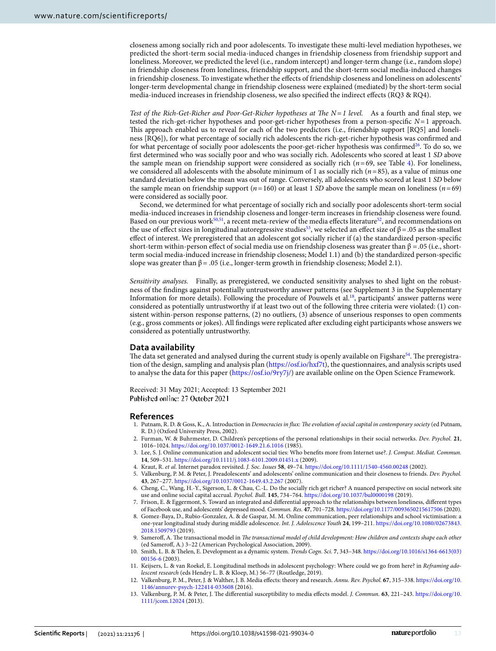closeness among socially rich and poor adolescents. To investigate these multi-level mediation hypotheses, we predicted the short-term social media-induced changes in friendship closeness from friendship support and loneliness. Moreover, we predicted the level (i.e., random intercept) and longer-term change (i.e., random slope) in friendship closeness from loneliness, friendship support, and the short-term social media-induced changes in friendship closeness. To investigate whether the efects of friendship closeness and loneliness on adolescents' longer-term developmental change in friendship closeness were explained (mediated) by the short-term social media-induced increases in friendship closeness, we also specifed the indirect efects (RQ3 & RQ4).

Test of the Rich-Get-Richer and Poor-Get-Richer hypotheses at The  $N=1$  level. As a fourth and final step, we tested the rich-get-richer hypotheses and poor-get-richer hypotheses from a person-specifc *N*=1 approach. Tis approach enabled us to reveal for each of the two predictors (i.e., friendship support [RQ5] and loneliness [RQ6]), for what percentage of socially rich adolescents the rich-get-richer hypothesis was confrmed and for what percentage of socially poor adolescents the poor-get-richer hypothesis was confirmed<sup>26</sup>. To do so, we frst determined who was socially poor and who was socially rich. Adolescents who scored at least 1 *SD* above the sample mean on friendship support were considered as socially rich (*n*=69, see Table [4](#page-8-1)). For loneliness, we considered all adolescents with the absolute minimum of 1 as socially rich (*n*=85), as a value of minus one standard deviation below the mean was out of range. Conversely, all adolescents who scored at least 1 *SD* below the sample mean on friendship support ( $n=160$ ) or at least 1 *SD* above the sample mean on loneliness ( $n=69$ ) were considered as socially poor.

Second, we determined for what percentage of socially rich and socially poor adolescents short-term social media-induced increases in friendship closeness and longer-term increases in friendship closeness were found. Based on our previous work<sup>[50,](#page-13-35)[51](#page-13-36)</sup>, a recent meta-review of the media effects literature<sup>[52](#page-13-37)</sup>, and recommendations on the use of effect sizes in longitudinal autoregressive studies<sup>53</sup>, we selected an effect size of  $\beta$  = .05 as the smallest efect of interest. We preregistered that an adolescent got socially richer if (a) the standardized person-specifc short-term within-person effect of social media use on friendship closeness was greater than  $\beta$  = .05 (i.e., shortterm social media-induced increase in friendship closeness; Model 1.1) and (b) the standardized person-specifc slope was greater than  $\beta$  = .05 (i.e., longer-term growth in friendship closeness; Model 2.1).

*Sensitivity analyses.* Finally, as preregistered, we conducted sensitivity analyses to shed light on the robustness of the fndings against potentially untrustworthy answer patterns (see Supplement 3 in the Supplementary Information for more details). Following the procedure of Pouwels et al.[18](#page-13-4), participants' answer patterns were considered as potentially untrustworthy if at least two out of the following three criteria were violated: (1) consistent within-person response patterns, (2) no outliers, (3) absence of unserious responses to open comments (e.g., gross comments or jokes). All fndings were replicated afer excluding eight participants whose answers we considered as potentially untrustworthy.

#### **Data availability**

The data set generated and analysed during the current study is openly available on Figshare<sup>[54](#page-13-39)</sup>. The preregistration of the design, sampling and analysis plan ([https://osf.io/hxf7t\)](https://osf.io/hxf7t), the questionnaires, and analysis scripts used to analyse the data for this paper ([https://osf.io/9ry7j/\)](https://osf.io/9ry7j/) are available online on the Open Science Framework.

Received: 31 May 2021; Accepted: 13 September 2021 Published online: 27 October 2021

#### **References**

- <span id="page-12-0"></span>1. Putnam, R. D. & Goss, K., A. Introduction in *Democracies in fux: Te evolution of social capital in contemporary society* (ed Putnam, R. D.) (Oxford University Press, 2002).
- <span id="page-12-1"></span>2. Furman, W. & Buhrmester, D. Children's perceptions of the personal relationships in their social networks. *Dev. Psychol.* **21**, 1016–1024. <https://doi.org/10.1037/0012-1649.21.6.1016> (1985).
- <span id="page-12-2"></span>3. Lee, S. J. Online communication and adolescent social ties: Who benefts more from Internet use?. *J. Comput. Mediat. Commun.* **14**, 509–531.<https://doi.org/10.1111/j.1083-6101.2009.01451.x> (2009).
- <span id="page-12-3"></span>4. Kraut, R. *et al.* Internet paradox revisited. *J. Soc. Issues* **58**, 49–74.<https://doi.org/10.1111/1540-4560.00248> (2002).
- <span id="page-12-4"></span>5. Valkenburg, P. M. & Peter, J. Preadolescents' and adolescents' online communication and their closeness to friends. *Dev. Psychol.* **43**, 267–277.<https://doi.org/10.1037/0012-1649.43.2.267> (2007).
- <span id="page-12-5"></span>6. Cheng, C., Wang, H.-Y., Sigerson, L. & Chau, C.-L. Do the socially rich get richer? A nuanced perspective on social network site use and online social capital accrual. *Psychol. Bull.* **145**, 734–764. <https://doi.org/10.1037/bul0000198>(2019).
- <span id="page-12-6"></span>7. Frison, E. & Eggermont, S. Toward an integrated and diferential approach to the relationships between loneliness, diferent types of Facebook use, and adolescents' depressed mood. *Commun. Res.* **47**, 701–728.<https://doi.org/10.1177/0093650215617506>(2020).
- <span id="page-12-7"></span>8. Gomez-Baya, D., Rubio-Gonzalez, A. & de Gaspar, M. M. Online communication, peer relationships and school victimisation: a one-year longitudinal study during middle adolescence. *Int. J. Adolescence Youth* **24**, 199–211. [https://doi.org/10.1080/02673843.](https://doi.org/10.1080/02673843.2018.1509793) [2018.1509793](https://doi.org/10.1080/02673843.2018.1509793) (2019).
- <span id="page-12-8"></span>9. Sameroff, A. The transactional model in *The transactional model of child development: How children and contexts shape each other* (ed Samerof, A.) 3–22 (American Psychological Association, 2009).
- <span id="page-12-12"></span>10. Smith, L. B. & Telen, E. Development as a dynamic system. *Trends Cogn. Sci.* **7**, 343–348. [https://doi.org/10.1016/s1364-6613\(03\)](https://doi.org/10.1016/s1364-6613(03)00156-6) [00156-6](https://doi.org/10.1016/s1364-6613(03)00156-6) (2003).
- <span id="page-12-9"></span>11. Keijsers, L. & van Roekel, E. Longitudinal methods in adolescent psychology: Where could we go from here? in *Reframing adolescent research* (eds Hendry L. B. & Kloep, M.) 56–77 (Routledge, 2019).
- <span id="page-12-10"></span>12. Valkenburg, P. M., Peter, J. & Walther, J. B. Media efects: theory and research. *Annu. Rev. Psychol.* **67**, 315–338. [https://doi.org/10.](https://doi.org/10.1146/annurev-psych-122414-033608) [1146/annurev-psych-122414-033608](https://doi.org/10.1146/annurev-psych-122414-033608) (2016).
- <span id="page-12-11"></span>13. Valkenburg, P. M. & Peter, J. Te diferential susceptibility to media efects model. *J. Commun.* **63**, 221–243. [https://doi.org/10.](https://doi.org/10.1111/jcom.12024) [1111/jcom.12024](https://doi.org/10.1111/jcom.12024) (2013).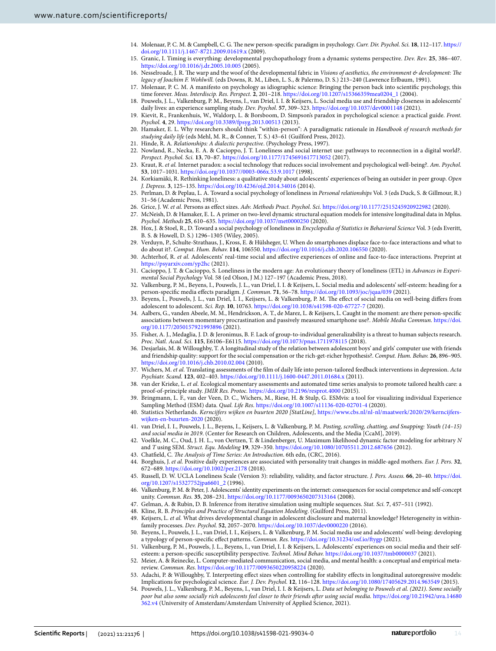- <span id="page-13-0"></span>14. Molenaar, P. C. M. & Campbell, C. G. Te new person-specifc paradigm in psychology. *Curr. Dir. Psychol. Sci.* **18**, 112–117. [https://](https://doi.org/10.1111/j.1467-8721.2009.01619.x) [doi.org/10.1111/j.1467-8721.2009.01619.x](https://doi.org/10.1111/j.1467-8721.2009.01619.x) (2009).
- <span id="page-13-1"></span>15. Granic, I. Timing is everything: developmental psychopathology from a dynamic systems perspective. *Dev. Rev.* **25**, 386–407. <https://doi.org/10.1016/j.dr.2005.10.005> (2005).
- <span id="page-13-2"></span>16. Nesselroade, J. R. The warp and the woof of the developmental fabric in *Visions of aesthetics, the environment & development: The legacy of Joachim F. Wohlwill.* (eds Downs, R. M., Liben, L. S., & Palermo, D. S.) 213–240 (Lawrence Erlbaum, 1991).
- <span id="page-13-3"></span>17. Molenaar, P. C. M. A manifesto on psychology as idiographic science: Bringing the person back into scientifc psychology, this time forever. *Meas. Interdiscip. Res. Perspect.* **2**, 201–218. [https://doi.org/10.1207/s15366359mea0204\\_1](https://doi.org/10.1207/s15366359mea0204_1) (2004).
- <span id="page-13-4"></span>18. Pouwels, J. L., Valkenburg, P. M., Beyens, I., van Driel, I. I. & Keijsers, L. Social media use and friendship closeness in adolescents' daily lives: an experience sampling study. *Dev. Psychol.* **57**, 309–323. <https://doi.org/10.1037/dev0001148> (2021).
- <span id="page-13-5"></span>19. Kievit, R., Frankenhuis, W., Waldorp, L. & Borsboom, D. Simpson's paradox in psychological science: a practical guide. *Front. Psychol.* **4**, 29. <https://doi.org/10.3389/fpsyg.2013.00513>(2013).
- <span id="page-13-6"></span>20. Hamaker, E. L. Why researchers should think "within-person": A paradigmatic rationale in *Handbook of research methods for studying daily life* (eds Mehl, M. R., & Conner, T. S.) 43–61 (Guilford Press, 2012).
- <span id="page-13-7"></span>21. Hinde, R. A. *Relationships: A dialectic perspective*. (Psychology Press, 1997).
- <span id="page-13-8"></span>22. Nowland, R., Necka, E. A. & Cacioppo, J. T. Loneliness and social internet use: pathways to reconnection in a digital world?. *Perspect. Psychol. Sci.* **13**, 70–87.<https://doi.org/10.1177/1745691617713052> (2017).
- <span id="page-13-9"></span>23. Kraut, R. *et al.* Internet paradox: a social technology that reduces social involvement and psychological well-being?. *Am. Psychol.* **53**, 1017–1031. <https://doi.org/10.1037//0003-066x.53.9.1017>(1998).
- <span id="page-13-10"></span>24. Korkiamäki, R. Rethinking loneliness: a qualitative study about adolescents' experiences of being an outsider in peer group. *Open J. Depress.* **3**, 125–135. <https://doi.org/10.4236/ojd.2014.34016> (2014).
- <span id="page-13-11"></span>25. Perlman, D. & Peplau, L. A. Toward a social psychology of loneliness in *Personal relationships* Vol. 3 (eds Duck, S. & Gillmour, R.) 31–56 (Academic Press, 1981).
- <span id="page-13-12"></span>26. Grice, J. W. *et al.* Persons as efect sizes. *Adv. Methods Pract. Psychol. Sci.* <https://doi.org/10.1177/2515245920922982>(2020).
- <span id="page-13-13"></span>27. McNeish, D. & Hamaker, E. L. A primer on two-level dynamic structural equation models for intensive longitudinal data in Mplus. *Psychol. Methods* **25**, 610–635.<https://doi.org/10.1037/met0000250> (2020).
- <span id="page-13-14"></span>28. Hox, J. & Stoel, R., D. Toward a social psychology of loneliness in *Encyclopedia of Statistics in Behavioral Science* Vol. 3 (eds Everitt, B. S. & Howell, D. S.) 1296–1305 (Wiley, 2005).
- <span id="page-13-15"></span>29. Verduyn, P., Schulte-Strathaus, J., Kross, E. & Hülsheger, U. When do smartphones displace face-to-face interactions and what to do about it?. *Comput. Hum. Behav.* **114**, 106550.<https://doi.org/10.1016/j.chb.2020.106550>(2020).
- <span id="page-13-16"></span>30. Achterhof, R. *et al.* Adolescents' real-time social and afective experiences of online and face-to-face interactions. Preprint at <https://psyarxiv.com/yp2hc> (2021).
- <span id="page-13-17"></span>31. Cacioppo, J. T. & Cacioppo, S. Loneliness in the modern age: An evolutionary theory of loneliness (ETL) in *Advances in Experimental Social Psychology* Vol. 58 (ed Olson, J M.) 127–197 (Academic Press, 2018).
- <span id="page-13-18"></span>32. Valkenburg, P. M., Beyens, I., Pouwels, J. L., van Driel, I. I. & Keijsers, L. Social media and adolescents' self-esteem: heading for a person-specifc media efects paradigm. *J. Commun.* **71**, 56–78. <https://doi.org/10.1093/joc/jqaa/039> (2021).
- 33. Beyens, I., Pouwels, J. L., van Driel, I. I., Keijsers, L. & Valkenburg, P. M. The effect of social media on well-being differs from adolescent to adolescent. *Sci. Rep.* **10**, 10763.<https://doi.org/10.1038/s41598-020-67727-7>(2020).
- <span id="page-13-19"></span>34. Aalbers, G., vanden Abeele, M. M., Hendrickson, A. T., de Marez, L. & Keijsers, L. Caught in the moment: are there person-specifc associations between momentary procrastination and passively measured smartphone use?. *Mobile Media Commun.* [https://doi.](https://doi.org/10.1177/2050157921993896) [org/10.1177/2050157921993896](https://doi.org/10.1177/2050157921993896) (2021).
- <span id="page-13-20"></span>35. Fisher, A. J., Medaglia, J. D. & Jeronimus, B. F. Lack of group-to-individual generalizability is a threat to human subjects research. *Proc. Natl. Acad. Sci.* **115**, E6106–E6115. <https://doi.org/10.1073/pnas.1711978115> (2018).
- <span id="page-13-21"></span>36. Desjarlais, M. & Willoughby, T. A longitudinal study of the relation between adolescent boys' and girls' computer use with friends and friendship quality: support for the social compensation or the rich-get-richer hypothesis?. *Comput. Hum. Behav.* **26**, 896–905. <https://doi.org/10.1016/j.chb.2010.02.004>(2010).
- <span id="page-13-22"></span>37. Wichers, M. *et al.* Translating assessments of the flm of daily life into person-tailored feedback interventions in depression. *Acta Psychiatr. Scand.* **123**, 402–403. <https://doi.org/10.1111/j.1600-0447.2011.01684.x>(2011).
- <span id="page-13-23"></span>38. van der Krieke, L. *et al.* Ecological momentary assessments and automated time series analysis to promote tailored health care: a proof-of-principle study. *JMIR Res. Protoc.* <https://doi.org/10.2196/resprot.4000>(2015).
- <span id="page-13-24"></span>39. Bringmann, L. F., van der Veen, D. C., Wichers, M., Riese, H. & Stulp, G. ESMvis: a tool for visualizing individual Experience Sampling Method (ESM) data. *Qual. Life Res.* <https://doi.org/10.1007/s11136-020-02701-4> (2020).
- <span id="page-13-25"></span>40. Statistics Netherlands. *Kerncijfers wijken en buurten 2020 [StatLine]*, [https://www.cbs.nl/nl-nl/maatwerk/2020/29/kerncijfers](https://www.cbs.nl/nl-nl/maatwerk/2020/29/kerncijfers-wijken-en-buurten-2020)[wijken-en-buurten-2020](https://www.cbs.nl/nl-nl/maatwerk/2020/29/kerncijfers-wijken-en-buurten-2020) (2020).
- <span id="page-13-26"></span>41. van Driel, I. I., Pouwels, J. L., Beyens, I., Keijsers, L. & Valkenburg, P. M. *Posting, scrolling, chatting, and Snapping: Youth (14–15) and social media in 2019*. (Center for Research on Children, Adolescents, and the Media [CcaM], 2019).
- <span id="page-13-27"></span>42. Voelkle, M. C., Oud, J. H. L., von Oertzen, T. & Lindenberger, U. Maximum likelihood dynamic factor modeling for arbitrary *N* and *T* using SEM. *Struct. Equ. Modeling* **19**, 329–350.<https://doi.org/10.1080/10705511.2012.687656> (2012).
- <span id="page-13-28"></span>43. Chatfeld, C. *Te Analysis of Time Series: An Introduction*. 6th edn, (CRC, 2016).
- <span id="page-13-29"></span>44. Borghuis, J. *et al.* Positive daily experiences are associated with personality trait changes in middle-aged mothers. *Eur. J. Pers.* **32**, 672–689. <https://doi.org/10.1002/per.2178> (2018).
- <span id="page-13-30"></span>45. Russell, D. W. UCLA Loneliness Scale (Version 3): reliability, validity, and factor structure. *J. Pers. Assess.* **66**, 20–40. [https://doi.](https://doi.org/10.1207/s15327752jpa6601_2) [org/10.1207/s15327752jpa6601\\_2](https://doi.org/10.1207/s15327752jpa6601_2) (1996).
- <span id="page-13-31"></span>46. Valkenburg, P. M. & Peter, J. Adolescents' identity experiments on the internet: consequences for social competence and self-concept unity. *Commun. Res.* **35**, 208–231.<https://doi.org/10.1177/0093650207313164> (2008).
- <span id="page-13-32"></span>47. Gelman, A. & Rubin, D. B. Inference from iterative simulation using multiple sequences. *Stat. Sci.* **7**, 457–511 (1992).
- <span id="page-13-33"></span>48. Kline, R. B. *Principles and Practice of Structural Equation Modeling*. (Guilford Press, 2011).
- <span id="page-13-34"></span>49. Keijsers, L. *et al.* What drives developmental change in adolescent disclosure and maternal knowledge? Heterogeneity in withinfamily processes. *Dev. Psychol.* **52**, 2057–2070. <https://doi.org/10.1037/dev0000220> (2016).
- <span id="page-13-35"></span>50. Beyens, I., Pouwels, J. L., van Driel, I. I., Keijsers, L. & Valkenburg, P. M. Social media use and adolescents' well-being: developing a typology of person-specifc efect patterns. *Commun. Res.* [https://doi.org/10.31234/osf.io/fygp](https://doi.org/10.31234/osf.io/ftygp) (2021).
- <span id="page-13-36"></span>51. Valkenburg, P. M., Pouwels, J. L., Beyens, I., van Driel, I. I. & Keijsers, L. Adolescents' experiences on social media and their selfesteem: a person-specifc susceptibility perspective. *Technol. Mind Behav.* <https://doi.org/10.1037/tmb0000037> (2021).
- <span id="page-13-37"></span>52. Meier, A. & Reinecke, L. Computer-mediated communication, social media, and mental health: a conceptual and empirical metareview. *Commun. Res.* <https://doi.org/10.1177/0093650220958224> (2020).
- <span id="page-13-38"></span>53. Adachi, P. & Willoughby, T. Interpreting efect sizes when controlling for stability efects in longitudinal autoregressive models: Implications for psychological science. *Eur. J. Dev. Psychol.* **12**, 116–128.<https://doi.org/10.1080/17405629.2014.963549> (2015).
- <span id="page-13-39"></span>54. Pouwels, J. L., Valkenburg, P. M., Beyens, I., van Driel, I. I. & Keijsers, L. *Data set belonging to Pouwels et al. (2021). Some socially poor but also some socially rich adolescents feel closer to their friends afer using social media.* [https://doi.org/10.21942/uva.14680](https://doi.org/10.21942/uva.14680362.v4) [362.v4](https://doi.org/10.21942/uva.14680362.v4) (University of Amsterdam/Amsterdam University of Applied Science, 2021).